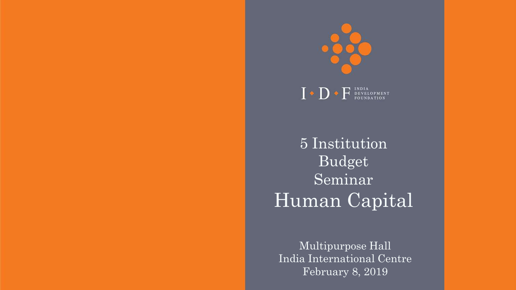

 $\Gamma \bullet \mathbf{D} \bullet \mathbf{F}$  INDIA PEVELOPMENT

5 Institution Budget Seminar Human Capital

Multipurpose Hall India International Centre February 8, 2019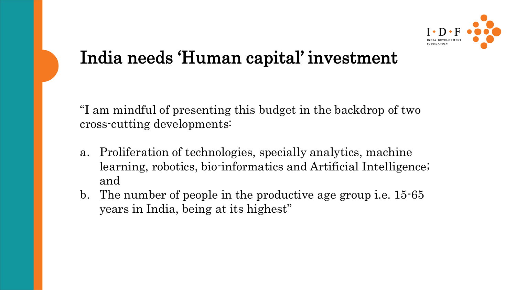

## India needs 'Human capital' investment

"I am mindful of presenting this budget in the backdrop of two cross-cutting developments:

- a. Proliferation of technologies, specially analytics, machine learning, robotics, bio-informatics and Artificial Intelligence; and
- b. The number of people in the productive age group i.e. 15-65 years in India, being at its highest"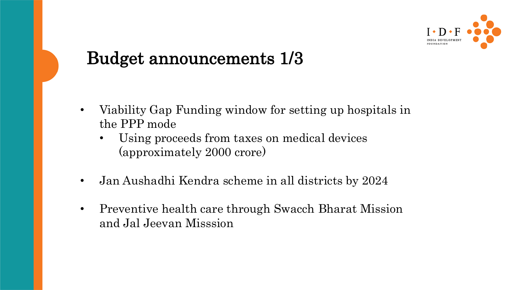

### Budget announcements 1/3

- Viability Gap Funding window for setting up hospitals in the PPP mode
	- Using proceeds from taxes on medical devices (approximately 2000 crore)
- Jan Aushadhi Kendra scheme in all districts by 2024
- Preventive health care through Swacch Bharat Mission and Jal Jeevan Misssion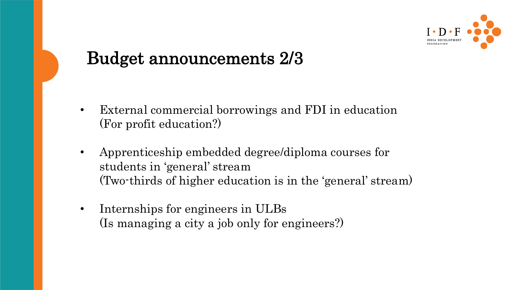

### Budget announcements 2/3

- External commercial borrowings and FDI in education (For profit education?)
- Apprenticeship embedded degree/diploma courses for students in 'general' stream (Two-thirds of higher education is in the 'general' stream)
- Internships for engineers in ULBs (Is managing a city a job only for engineers?)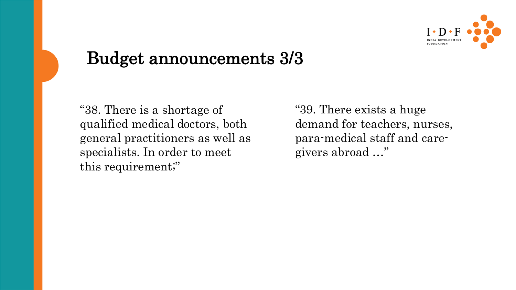

#### Budget announcements 3/3

"38. There is a shortage of qualified medical doctors, both general practitioners as well as specialists. In order to meet this requirement;"

"39. There exists a huge demand for teachers, nurses, para-medical staff and caregivers abroad …"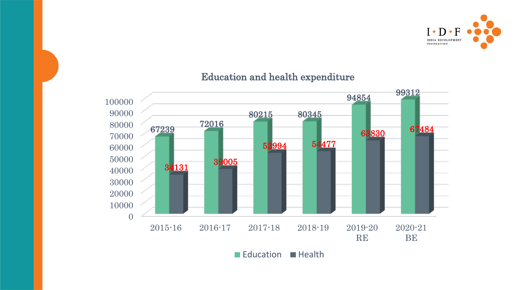

#### 2015-16 2016-17 2017-18 2018-19 2019-20 RE 2020-21 BE <sup>72016</sup> 80345 <sup>99312</sup> <sup>39005</sup> 54477 <sup>67484</sup>

#### Education and health expenditure

Education **Health**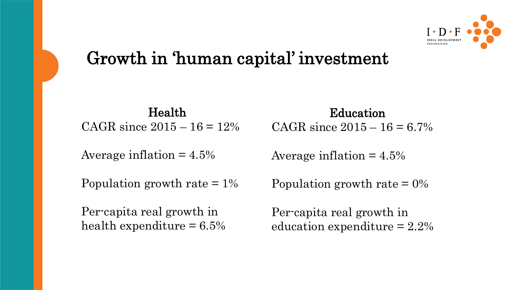

## Growth in 'human capital' investment

Health CAGR since  $2015 - 16 = 12\%$ 

Average inflation  $= 4.5\%$ 

Population growth rate  $= 1\%$ 

Per-capita real growth in health expenditure  $= 6.5\%$ 

Education CAGR since  $2015 - 16 = 6.7\%$ 

Average inflation  $= 4.5\%$ 

Population growth rate  $= 0\%$ 

Per-capita real growth in education expenditure = 2.2%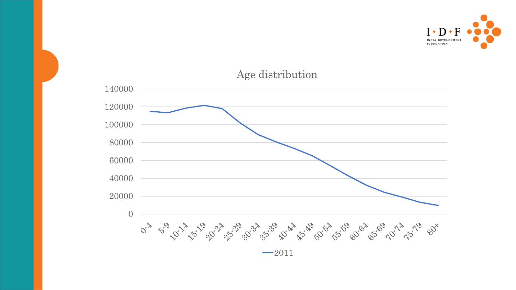



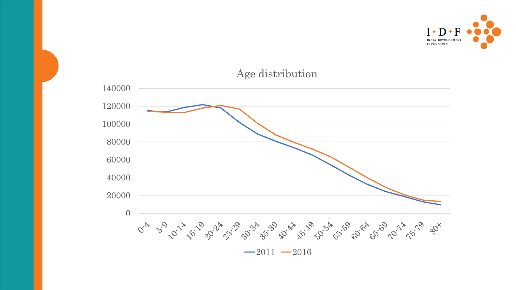



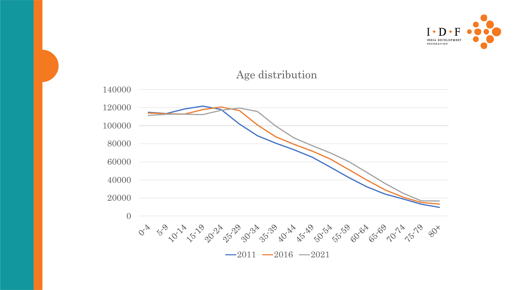

Age distribution

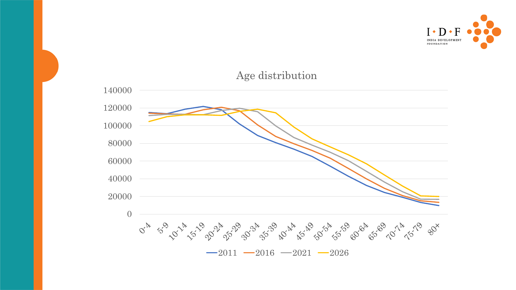

#### Age distribution

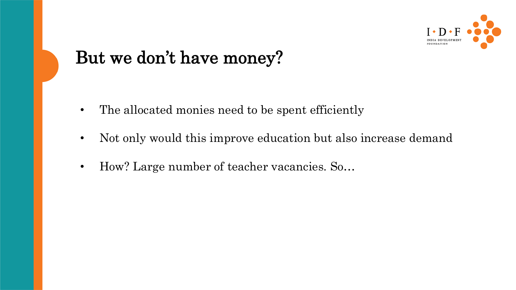

### But we don't have money?

- The allocated monies need to be spent efficiently
- Not only would this improve education but also increase demand
- How? Large number of teacher vacancies. So…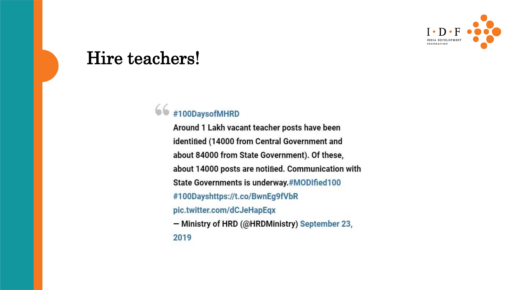

#### Hire teachers!

#### $66$  #100DaysofMHRD

Around 1 Lakh vacant teacher posts have been identified (14000 from Central Government and about 84000 from State Government). Of these, about 14000 posts are notified. Communication with State Governments is underway.#MODIfied100 #100Dayshttps://t.co/BwnEg9fVbR pic.twitter.com/dCJeHapEqx - Ministry of HRD (@HRDMinistry) September 23, 2019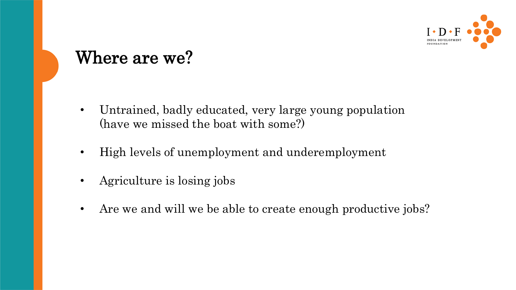

#### Where are we?

- Untrained, badly educated, very large young population (have we missed the boat with some?)
- High levels of unemployment and underemployment
- Agriculture is losing jobs
- Are we and will we be able to create enough productive jobs?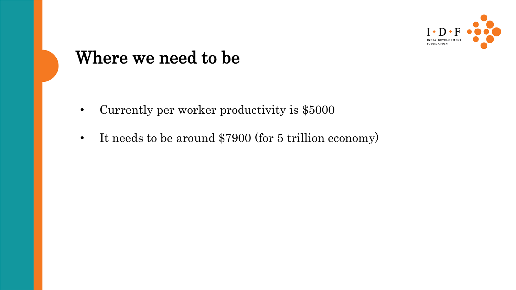

#### Where we need to be

- Currently per worker productivity is \$5000
- It needs to be around \$7900 (for 5 trillion economy)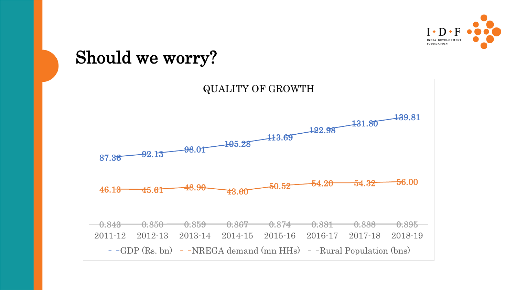

#### Should we worry?